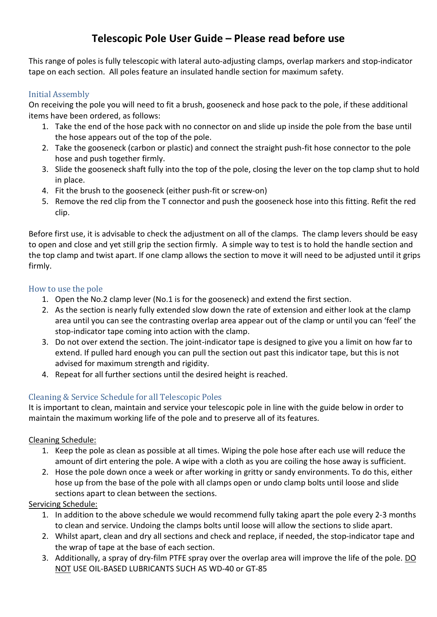# **Telescopic Pole User Guide – Please read before use**

This range of poles is fully telescopic with lateral auto-adjusting clamps, overlap markers and stop-indicator tape on each section. All poles feature an insulated handle section for maximum safety.

## Initial Assembly

On receiving the pole you will need to fit a brush, gooseneck and hose pack to the pole, if these additional items have been ordered, as follows:

- 1. Take the end of the hose pack with no connector on and slide up inside the pole from the base until the hose appears out of the top of the pole.
- 2. Take the gooseneck (carbon or plastic) and connect the straight push-fit hose connector to the pole hose and push together firmly.
- 3. Slide the gooseneck shaft fully into the top of the pole, closing the lever on the top clamp shut to hold in place.
- 4. Fit the brush to the gooseneck (either push-fit or screw-on)
- 5. Remove the red clip from the T connector and push the gooseneck hose into this fitting. Refit the red clip.

Before first use, it is advisable to check the adjustment on all of the clamps. The clamp levers should be easy to open and close and yet still grip the section firmly. A simple way to test is to hold the handle section and the top clamp and twist apart. If one clamp allows the section to move it will need to be adjusted until it grips firmly.

### How to use the pole

- 1. Open the No.2 clamp lever (No.1 is for the gooseneck) and extend the first section.
- 2. As the section is nearly fully extended slow down the rate of extension and either look at the clamp area until you can see the contrasting overlap area appear out of the clamp or until you can 'feel' the stop-indicator tape coming into action with the clamp.
- 3. Do not over extend the section. The joint-indicator tape is designed to give you a limit on how far to extend. If pulled hard enough you can pull the section out past this indicator tape, but this is not advised for maximum strength and rigidity.
- 4. Repeat for all further sections until the desired height is reached.

## Cleaning & Service Schedule for all Telescopic Poles

It is important to clean, maintain and service your telescopic pole in line with the guide below in order to maintain the maximum working life of the pole and to preserve all of its features.

#### Cleaning Schedule:

- 1. Keep the pole as clean as possible at all times. Wiping the pole hose after each use will reduce the amount of dirt entering the pole. A wipe with a cloth as you are coiling the hose away is sufficient.
- 2. Hose the pole down once a week or after working in gritty or sandy environments. To do this, either hose up from the base of the pole with all clamps open or undo clamp bolts until loose and slide sections apart to clean between the sections.

#### Servicing Schedule:

- 1. In addition to the above schedule we would recommend fully taking apart the pole every 2-3 months to clean and service. Undoing the clamps bolts until loose will allow the sections to slide apart.
- 2. Whilst apart, clean and dry all sections and check and replace, if needed, the stop-indicator tape and the wrap of tape at the base of each section.
- 3. Additionally, a spray of dry-film PTFE spray over the overlap area will improve the life of the pole. DO NOT USE OIL-BASED LUBRICANTS SUCH AS WD-40 or GT-85